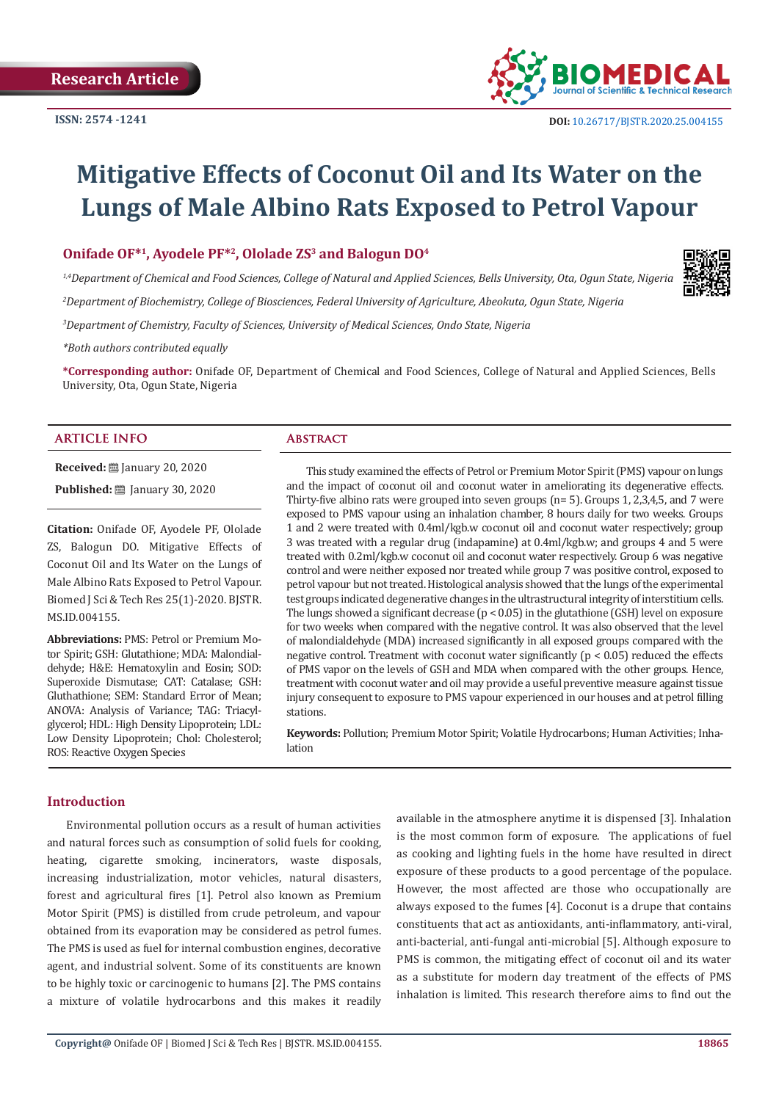

# **Mitigative Effects of Coconut Oil and Its Water on the Lungs of Male Albino Rats Exposed to Petrol Vapour**

# **Onifade OF\*1, Ayodele PF\*2, Ololade ZS3 and Balogun DO4**

*1,4Department of Chemical and Food Sciences, College of Natural and Applied Sciences, Bells University, Ota, Ogun State, Nigeria 2 Department of Biochemistry, College of Biosciences, Federal University of Agriculture, Abeokuta, Ogun State, Nigeria 3 Department of Chemistry, Faculty of Sciences, University of Medical Sciences, Ondo State, Nigeria*

*\*Both authors contributed equally*

**\*Corresponding author:** Onifade OF, Department of Chemical and Food Sciences, College of Natural and Applied Sciences, Bells University, Ota, Ogun State, Nigeria

#### **ARTICLE INFO Abstract**

**Received:** ■ January 20, 2020 **Published:** [201] January 30, 2020

**Citation:** Onifade OF, Ayodele PF, Ololade ZS, Balogun DO. Mitigative Effects of Coconut Oil and Its Water on the Lungs of Male Albino Rats Exposed to Petrol Vapour. Biomed J Sci & Tech Res 25(1)-2020. BJSTR. MS.ID.004155.

**Abbreviations:** PMS: Petrol or Premium Motor Spirit; GSH: Glutathione; MDA: Malondialdehyde; H&E: Hematoxylin and Eosin; SOD: Superoxide Dismutase; CAT: Catalase; GSH: Gluthathione; SEM: Standard Error of Mean; ANOVA: Analysis of Variance; TAG: Triacylglycerol; HDL: High Density Lipoprotein; LDL: Low Density Lipoprotein; Chol: Cholesterol; ROS: Reactive Oxygen Species

This study examined the effects of Petrol or Premium Motor Spirit (PMS) vapour on lungs and the impact of coconut oil and coconut water in ameliorating its degenerative effects. Thirty-five albino rats were grouped into seven groups (n= 5). Groups 1, 2,3,4,5, and 7 were exposed to PMS vapour using an inhalation chamber, 8 hours daily for two weeks. Groups 1 and 2 were treated with 0.4ml/kgb.w coconut oil and coconut water respectively; group 3 was treated with a regular drug (indapamine) at 0.4ml/kgb.w; and groups 4 and 5 were treated with 0.2ml/kgb.w coconut oil and coconut water respectively. Group 6 was negative control and were neither exposed nor treated while group 7 was positive control, exposed to petrol vapour but not treated. Histological analysis showed that the lungs of the experimental test groups indicated degenerative changes in the ultrastructural integrity of interstitium cells. The lungs showed a significant decrease ( $p < 0.05$ ) in the glutathione (GSH) level on exposure for two weeks when compared with the negative control. It was also observed that the level of malondialdehyde (MDA) increased significantly in all exposed groups compared with the negative control. Treatment with coconut water significantly ( $p < 0.05$ ) reduced the effects of PMS vapor on the levels of GSH and MDA when compared with the other groups. Hence, treatment with coconut water and oil may provide a useful preventive measure against tissue injury consequent to exposure to PMS vapour experienced in our houses and at petrol filling stations.

**Keywords:** Pollution; Premium Motor Spirit; Volatile Hydrocarbons; Human Activities; Inhalation

#### **Introduction**

Environmental pollution occurs as a result of human activities and natural forces such as consumption of solid fuels for cooking, heating, cigarette smoking, incinerators, waste disposals, increasing industrialization, motor vehicles, natural disasters, forest and agricultural fires [1]. Petrol also known as Premium Motor Spirit (PMS) is distilled from crude petroleum, and vapour obtained from its evaporation may be considered as petrol fumes. The PMS is used as fuel for internal combustion engines, decorative agent, and industrial solvent. Some of its constituents are known to be highly toxic or carcinogenic to humans [2]. The PMS contains a mixture of volatile hydrocarbons and this makes it readily

available in the atmosphere anytime it is dispensed [3]. Inhalation is the most common form of exposure. The applications of fuel as cooking and lighting fuels in the home have resulted in direct exposure of these products to a good percentage of the populace. However, the most affected are those who occupationally are always exposed to the fumes [4]. Coconut is a drupe that contains constituents that act as antioxidants, anti-inflammatory, anti-viral, anti-bacterial, anti-fungal anti-microbial [5]. Although exposure to PMS is common, the mitigating effect of coconut oil and its water as a substitute for modern day treatment of the effects of PMS inhalation is limited. This research therefore aims to find out the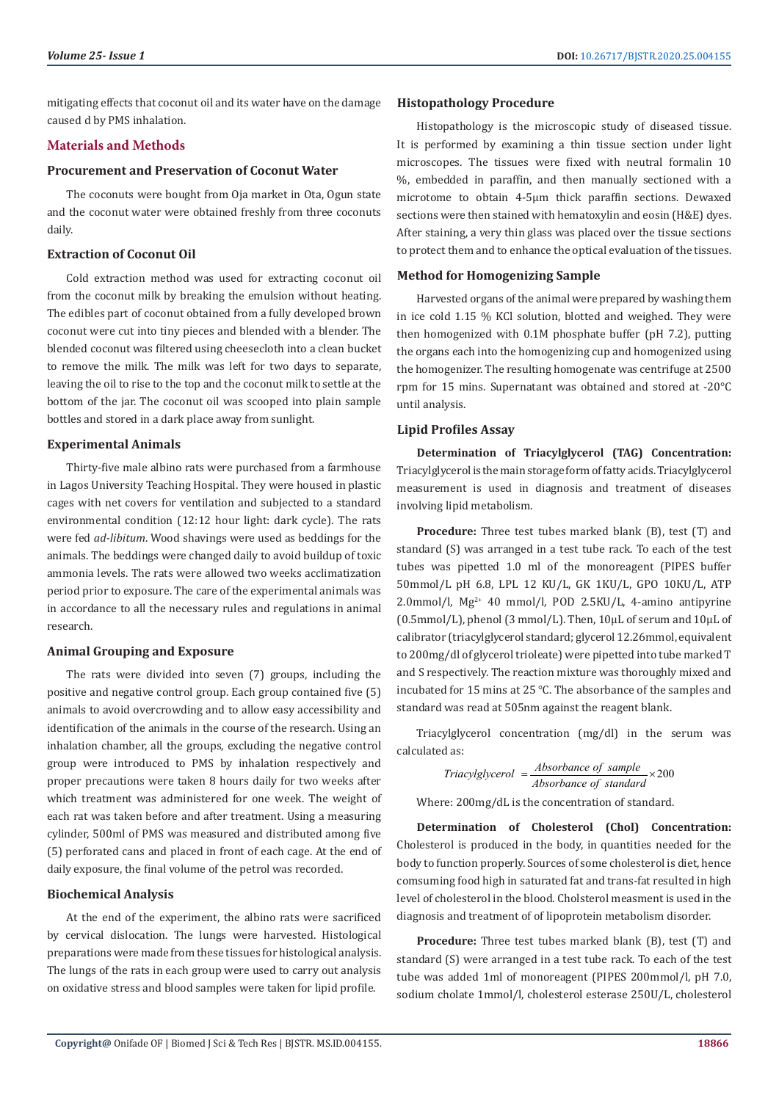mitigating effects that coconut oil and its water have on the damage caused d by PMS inhalation.

# **Materials and Methods**

#### **Procurement and Preservation of Coconut Water**

The coconuts were bought from Oja market in Ota, Ogun state and the coconut water were obtained freshly from three coconuts daily.

# **Extraction of Coconut Oil**

Cold extraction method was used for extracting coconut oil from the coconut milk by breaking the emulsion without heating. The edibles part of coconut obtained from a fully developed brown coconut were cut into tiny pieces and blended with a blender. The blended coconut was filtered using cheesecloth into a clean bucket to remove the milk. The milk was left for two days to separate, leaving the oil to rise to the top and the coconut milk to settle at the bottom of the jar. The coconut oil was scooped into plain sample bottles and stored in a dark place away from sunlight.

#### **Experimental Animals**

Thirty-five male albino rats were purchased from a farmhouse in Lagos University Teaching Hospital. They were housed in plastic cages with net covers for ventilation and subjected to a standard environmental condition (12:12 hour light: dark cycle). The rats were fed *ad-libitum*. Wood shavings were used as beddings for the animals. The beddings were changed daily to avoid buildup of toxic ammonia levels. The rats were allowed two weeks acclimatization period prior to exposure. The care of the experimental animals was in accordance to all the necessary rules and regulations in animal research.

# **Animal Grouping and Exposure**

The rats were divided into seven (7) groups, including the positive and negative control group. Each group contained five (5) animals to avoid overcrowding and to allow easy accessibility and identification of the animals in the course of the research. Using an inhalation chamber, all the groups, excluding the negative control group were introduced to PMS by inhalation respectively and proper precautions were taken 8 hours daily for two weeks after which treatment was administered for one week. The weight of each rat was taken before and after treatment. Using a measuring cylinder, 500ml of PMS was measured and distributed among five (5) perforated cans and placed in front of each cage. At the end of daily exposure, the final volume of the petrol was recorded.

# **Biochemical Analysis**

At the end of the experiment, the albino rats were sacrificed by cervical dislocation. The lungs were harvested. Histological preparations were made from these tissues for histological analysis. The lungs of the rats in each group were used to carry out analysis on oxidative stress and blood samples were taken for lipid profile.

#### **Histopathology Procedure**

Histopathology is the microscopic study of diseased tissue. It is performed by examining a thin tissue section under light microscopes. The tissues were fixed with neutral formalin 10 %, embedded in paraffin, and then manually sectioned with a microtome to obtain 4-5μm thick paraffin sections. Dewaxed sections were then stained with hematoxylin and eosin (H&E) dyes. After staining, a very thin glass was placed over the tissue sections to protect them and to enhance the optical evaluation of the tissues.

# **Method for Homogenizing Sample**

Harvested organs of the animal were prepared by washing them in ice cold 1.15 % KCl solution, blotted and weighed. They were then homogenized with 0.1M phosphate buffer (pH 7.2), putting the organs each into the homogenizing cup and homogenized using the homogenizer. The resulting homogenate was centrifuge at 2500 rpm for 15 mins. Supernatant was obtained and stored at -20°C until analysis.

#### **Lipid Profiles Assay**

**Determination of Triacylglycerol (TAG) Concentration:**  Triacylglycerol is the main storage form of fatty acids. Triacylglycerol measurement is used in diagnosis and treatment of diseases involving lipid metabolism.

**Procedure:** Three test tubes marked blank (B), test (T) and standard (S) was arranged in a test tube rack. To each of the test tubes was pipetted 1.0 ml of the monoreagent (PIPES buffer 50mmol/L pH 6.8, LPL 12 KU/L, GK 1KU/L, GPO 10KU/L, ATP 2.0mmol/l,  $Mg^{2+}$  40 mmol/l, POD 2.5KU/L, 4-amino antipyrine (0.5mmol/L), phenol (3 mmol/L). Then, 10µL of serum and 10µL of calibrator (triacylglycerol standard; glycerol 12.26mmol, equivalent to 200mg/dl of glycerol trioleate) were pipetted into tube marked T and S respectively. The reaction mixture was thoroughly mixed and incubated for 15 mins at 25 ℃. The absorbance of the samples and standard was read at 505nm against the reagent blank.

Triacylglycerol concentration (mg/dl) in the serum was calculated as:

$$
Triacylycero1 = \frac{Absorbance \ of \ sample}{Absorbance \ of \ standard} \times 200
$$

Where: 200mg/dL is the concentration of standard.

**Determination of Cholesterol (Chol) Concentration:**  Cholesterol is produced in the body, in quantities needed for the body to function properly. Sources of some cholesterol is diet, hence comsuming food high in saturated fat and trans-fat resulted in high level of cholesterol in the blood. Cholsterol measment is used in the diagnosis and treatment of of lipoprotein metabolism disorder.

**Procedure:** Three test tubes marked blank (B), test (T) and standard (S) were arranged in a test tube rack. To each of the test tube was added 1ml of monoreagent (PIPES 200mmol/l, pH 7.0, sodium cholate 1mmol/l, cholesterol esterase 250U/L, cholesterol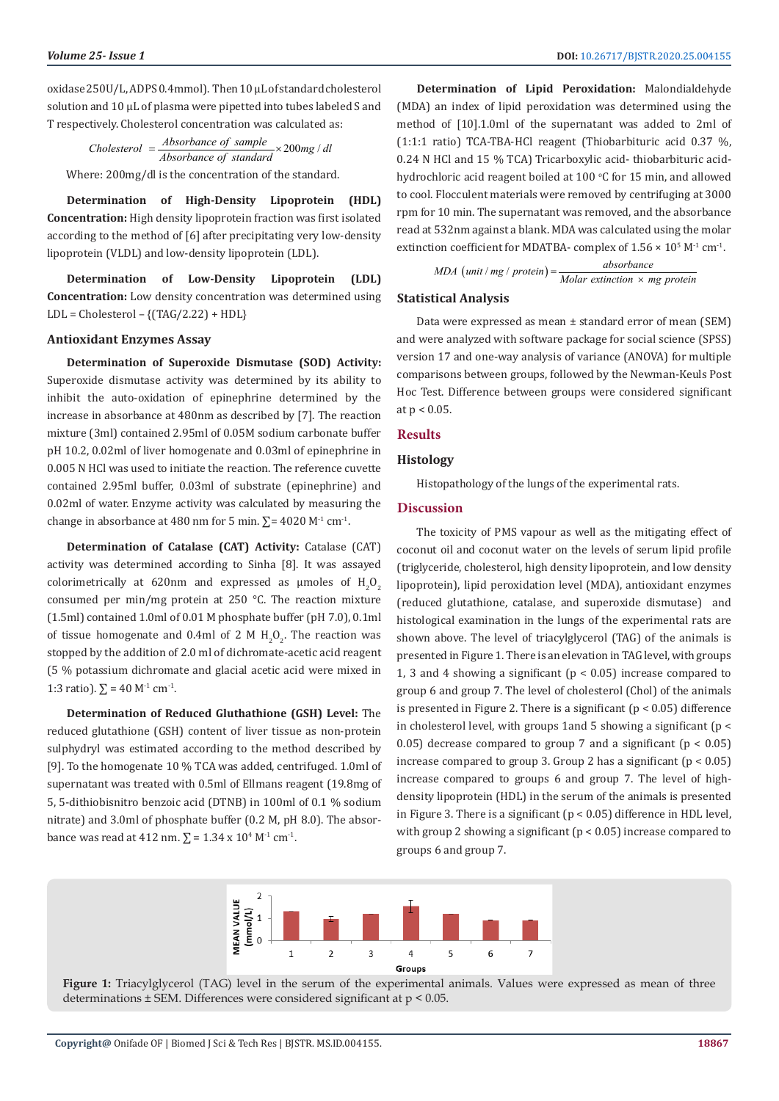oxidase 250U/L, ADPS 0.4mmol). Then 10 µL of standard cholesterol solution and 10 µL of plasma were pipetted into tubes labeled S and T respectively. Cholesterol concentration was calculated as:

Cholesterol = 
$$
\frac{Absorbance \ of \ sample}{Absorbance \ of \ standard} \times 200mg / dl
$$

Where: 200mg/dl is the concentration of the standard.

**Determination of High-Density Lipoprotein (HDL) Concentration:** High density lipoprotein fraction was first isolated according to the method of [6] after precipitating very low-density lipoprotein (VLDL) and low-density lipoprotein (LDL).

**Determination of Low-Density Lipoprotein (LDL) Concentration:** Low density concentration was determined using  $LDL = Cholesterol - \{(TAG/2.22) + HDL\}$ 

#### **Antioxidant Enzymes Assay**

**Determination of Superoxide Dismutase (SOD) Activity:**  Superoxide dismutase activity was determined by its ability to inhibit the auto-oxidation of epinephrine determined by the increase in absorbance at 480nm as described by [7]. The reaction mixture (3ml) contained 2.95ml of 0.05M sodium carbonate buffer pH 10.2, 0.02ml of liver homogenate and 0.03ml of epinephrine in 0.005 N HCl was used to initiate the reaction. The reference cuvette contained 2.95ml buffer, 0.03ml of substrate (epinephrine) and 0.02ml of water. Enzyme activity was calculated by measuring the change in absorbance at 480 nm for 5 min.  $\Sigma$ = 4020 M<sup>-1</sup> cm<sup>-1</sup>.

**Determination of Catalase (CAT) Activity:** Catalase (CAT) activity was determined according to Sinha [8]. It was assayed colorimetrically at 620nm and expressed as  $\mu$ moles of  $H_2O_2$ consumed per min/mg protein at 250 °C. The reaction mixture (1.5ml) contained 1.0ml of 0.01 M phosphate buffer (pH 7.0), 0.1ml of tissue homogenate and 0.4ml of 2 M  $H_2O_2$ . The reaction was stopped by the addition of 2.0 ml of dichromate-acetic acid reagent (5 % potassium dichromate and glacial acetic acid were mixed in 1:3 ratio).  $\Sigma = 40$  M<sup>-1</sup> cm<sup>-1</sup>.

**Determination of Reduced Gluthathione (GSH) Level:** The reduced glutathione (GSH) content of liver tissue as non-protein sulphydryl was estimated according to the method described by [9]. To the homogenate 10 % TCA was added, centrifuged. 1.0ml of supernatant was treated with 0.5ml of Ellmans reagent (19.8mg of 5, 5-dithiobisnitro benzoic acid (DTNB) in 100ml of 0.1 % sodium nitrate) and 3.0ml of phosphate buffer (0.2 M, pH 8.0). The absorbance was read at 412 nm.  $\Sigma = 1.34 \times 10^4$  M<sup>-1</sup> cm<sup>-1</sup>.

**Determination of Lipid Peroxidation:** Malondialdehyde (MDA) an index of lipid peroxidation was determined using the method of [10].1.0ml of the supernatant was added to 2ml of (1:1:1 ratio) TCA-TBA-HCl reagent (Thiobarbituric acid 0.37 %, 0.24 N HCl and 15 % TCA) Tricarboxylic acid- thiobarbituric acidhydrochloric acid reagent boiled at  $100\ ^{\circ}$ C for  $15$  min, and allowed to cool. Flocculent materials were removed by centrifuging at 3000 rpm for 10 min. The supernatant was removed, and the absorbance read at 532nm against a blank. MDA was calculated using the molar extinction coefficient for MDATBA- complex of  $1.56 \times 10^5$  M<sup>-1</sup> cm<sup>-1</sup>.

$$
MDA (unit / mg / protein) = \frac{absorbance}{Molar extinction \times mg protein}
$$

# **Statistical Analysis**

Data were expressed as mean ± standard error of mean (SEM) and were analyzed with software package for social science (SPSS) version 17 and one-way analysis of variance (ANOVA) for multiple comparisons between groups, followed by the Newman-Keuls Post Hoc Test. Difference between groups were considered significant at  $p < 0.05$ .

#### **Results**

#### **Histology**

Histopathology of the lungs of the experimental rats.

# **Discussion**

The toxicity of PMS vapour as well as the mitigating effect of coconut oil and coconut water on the levels of serum lipid profile (triglyceride, cholesterol, high density lipoprotein, and low density lipoprotein), lipid peroxidation level (MDA), antioxidant enzymes (reduced glutathione, catalase, and superoxide dismutase) and histological examination in the lungs of the experimental rats are shown above. The level of triacylglycerol (TAG) of the animals is presented in Figure 1. There is an elevation in TAG level, with groups 1, 3 and 4 showing a significant ( $p < 0.05$ ) increase compared to group 6 and group 7. The level of cholesterol (Chol) of the animals is presented in Figure 2. There is a significant  $(p < 0.05)$  difference in cholesterol level, with groups 1and 5 showing a significant ( $p <$ 0.05) decrease compared to group 7 and a significant ( $p < 0.05$ ) increase compared to group 3. Group 2 has a significant  $(p < 0.05)$ increase compared to groups 6 and group 7. The level of highdensity lipoprotein (HDL) in the serum of the animals is presented in Figure 3. There is a significant  $(p < 0.05)$  difference in HDL level, with group 2 showing a significant (p < 0.05) increase compared to groups 6 and group 7.



**Figure 1:** Triacylglycerol (TAG) level in the serum of the experimental animals. Values were expressed as mean of three determinations ± SEM. Differences were considered significant at p < 0.05.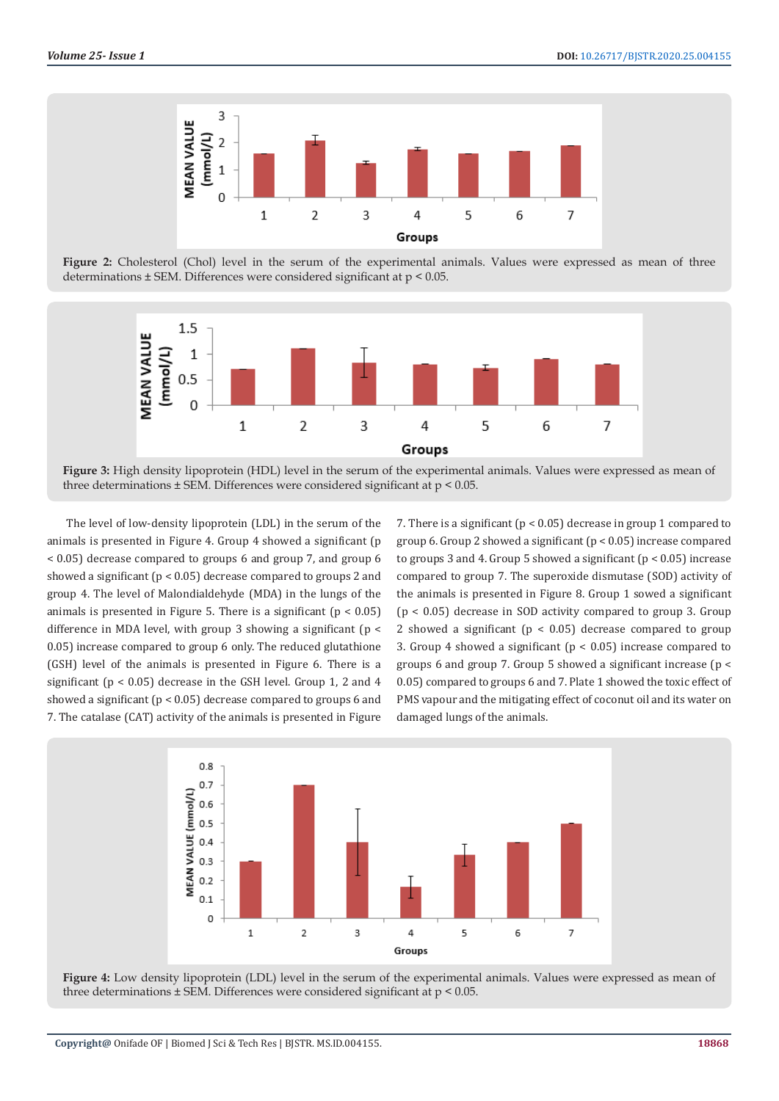

**Figure 2:** Cholesterol (Chol) level in the serum of the experimental animals. Values were expressed as mean of three determinations ± SEM. Differences were considered significant at p < 0.05.



**Figure 3:** High density lipoprotein (HDL) level in the serum of the experimental animals. Values were expressed as mean of three determinations ± SEM. Differences were considered significant at p < 0.05.

The level of low-density lipoprotein (LDL) in the serum of the animals is presented in Figure 4. Group 4 showed a significant (p < 0.05) decrease compared to groups 6 and group 7, and group 6 showed a significant (p < 0.05) decrease compared to groups 2 and group 4. The level of Malondialdehyde (MDA) in the lungs of the animals is presented in Figure 5. There is a significant  $(p < 0.05)$ difference in MDA level, with group 3 showing a significant (p < 0.05) increase compared to group 6 only. The reduced glutathione (GSH) level of the animals is presented in Figure 6. There is a significant (p < 0.05) decrease in the GSH level. Group 1, 2 and 4 showed a significant ( $p < 0.05$ ) decrease compared to groups 6 and 7. The catalase (CAT) activity of the animals is presented in Figure

7. There is a significant (p < 0.05) decrease in group 1 compared to group 6. Group 2 showed a significant (p < 0.05) increase compared to groups 3 and 4. Group 5 showed a significant ( $p < 0.05$ ) increase compared to group 7. The superoxide dismutase (SOD) activity of the animals is presented in Figure 8. Group 1 sowed a significant (p < 0.05) decrease in SOD activity compared to group 3. Group 2 showed a significant ( $p < 0.05$ ) decrease compared to group 3. Group 4 showed a significant ( $p < 0.05$ ) increase compared to groups 6 and group 7. Group 5 showed a significant increase (p < 0.05) compared to groups 6 and 7. Plate 1 showed the toxic effect of PMS vapour and the mitigating effect of coconut oil and its water on damaged lungs of the animals.



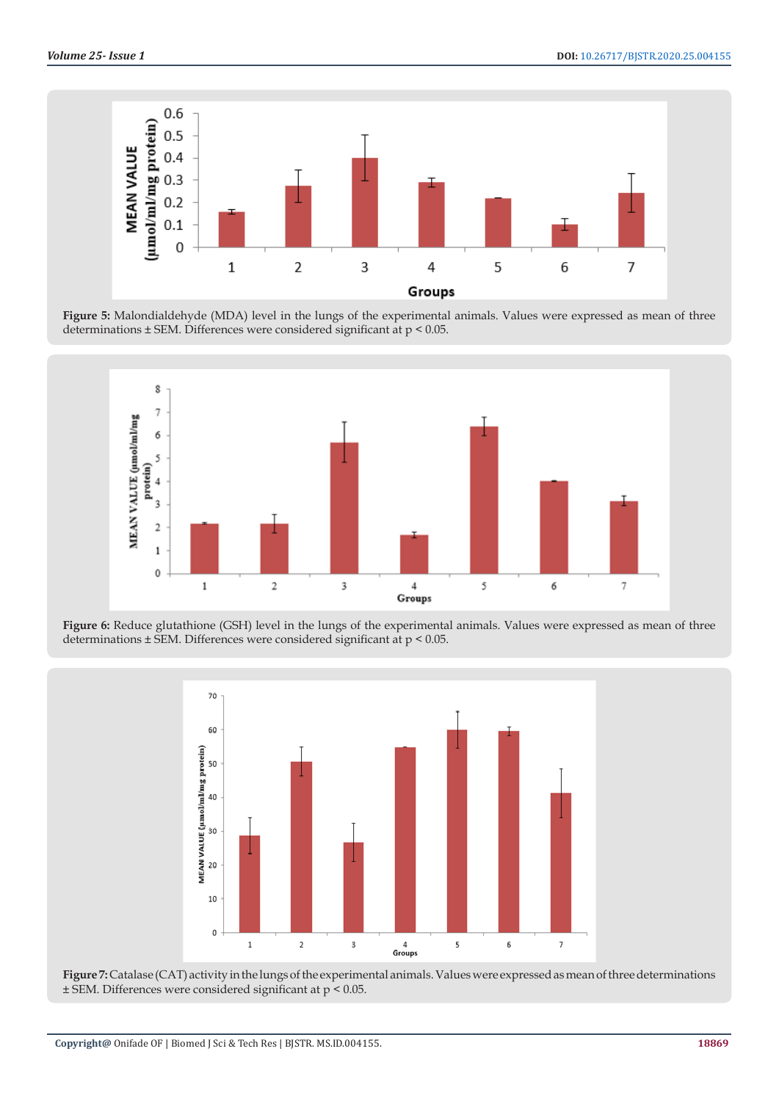

**Figure 5:** Malondialdehyde (MDA) level in the lungs of the experimental animals. Values were expressed as mean of three determinations ± SEM. Differences were considered significant at p < 0.05.



**Figure 6:** Reduce glutathione (GSH) level in the lungs of the experimental animals. Values were expressed as mean of three determinations ± SEM. Differences were considered significant at p < 0.05.



**Figure 7:** Catalase (CAT) activity in the lungs of the experimental animals. Values were expressed as mean of three determinations ± SEM. Differences were considered significant at p < 0.05.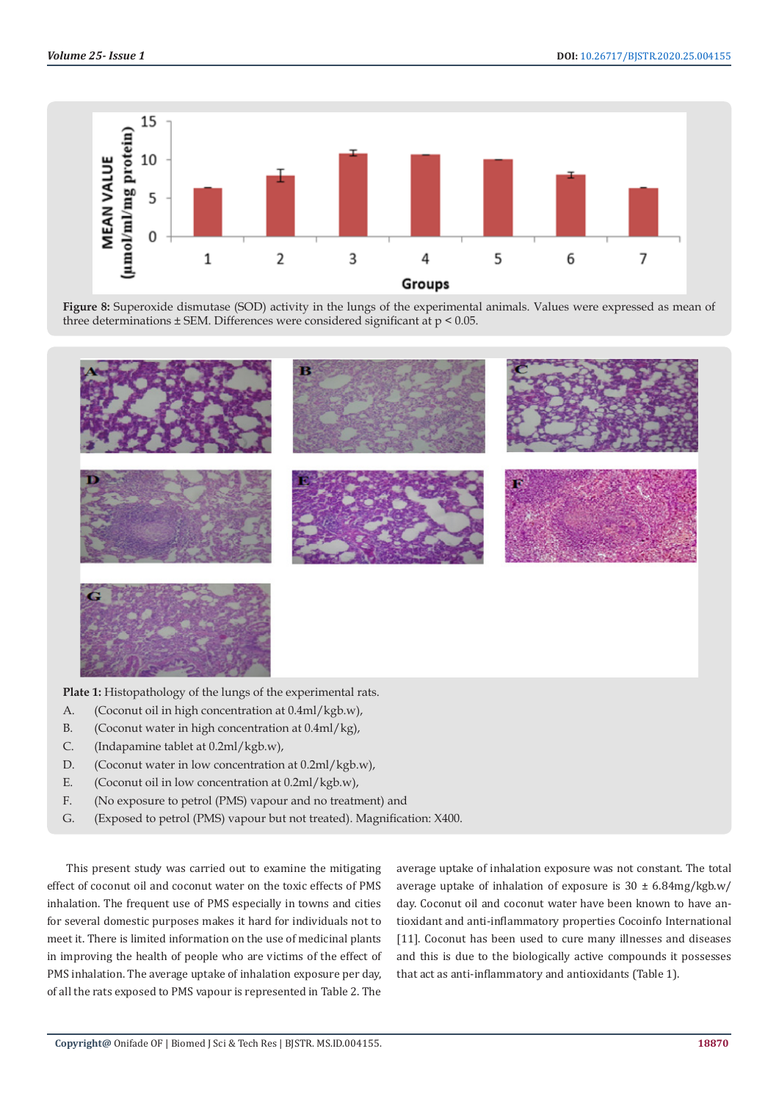

**Figure 8:** Superoxide dismutase (SOD) activity in the lungs of the experimental animals. Values were expressed as mean of three determinations ± SEM. Differences were considered significant at p < 0.05.



A. (Coconut oil in high concentration at 0.4ml/kgb.w),

- B. (Coconut water in high concentration at 0.4ml/kg),
- C. (Indapamine tablet at 0.2ml/kgb.w),
- D. (Coconut water in low concentration at  $0.2$ ml/kgb.w),
- E. (Coconut oil in low concentration at 0.2ml/kgb.w),
- F. (No exposure to petrol (PMS) vapour and no treatment) and
- G. (Exposed to petrol (PMS) vapour but not treated). Magnification: X400.

This present study was carried out to examine the mitigating effect of coconut oil and coconut water on the toxic effects of PMS inhalation. The frequent use of PMS especially in towns and cities for several domestic purposes makes it hard for individuals not to meet it. There is limited information on the use of medicinal plants in improving the health of people who are victims of the effect of PMS inhalation. The average uptake of inhalation exposure per day, of all the rats exposed to PMS vapour is represented in Table 2. The

average uptake of inhalation exposure was not constant. The total average uptake of inhalation of exposure is  $30 \pm 6.84$ mg/kgb.w/ day. Coconut oil and coconut water have been known to have antioxidant and anti-inflammatory properties Cocoinfo International [11]. Coconut has been used to cure many illnesses and diseases and this is due to the biologically active compounds it possesses that act as anti-inflammatory and antioxidants (Table 1).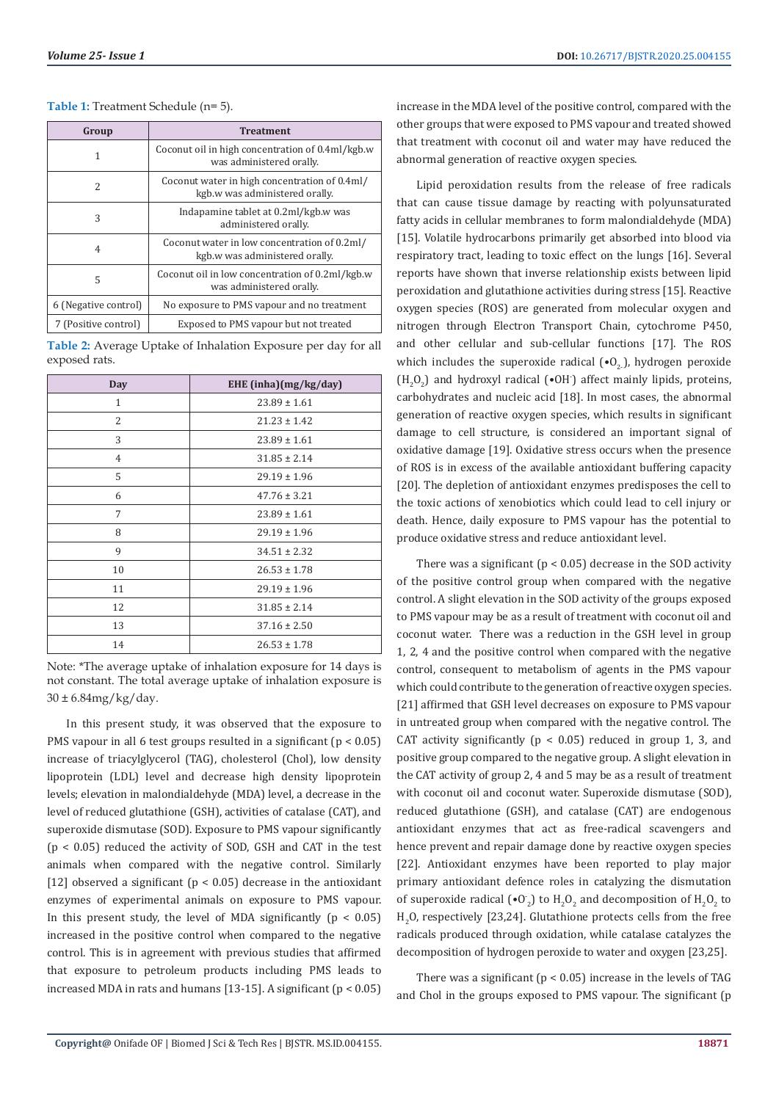| Group                | <b>Treatment</b>                                                                |
|----------------------|---------------------------------------------------------------------------------|
| 1                    | Coconut oil in high concentration of 0.4ml/kgb.w<br>was administered orally.    |
| $\mathcal{L}$        | Coconut water in high concentration of 0.4ml/<br>kgb.w was administered orally. |
| 3                    | Indapamine tablet at 0.2ml/kgb.w was<br>administered orally.                    |
| 4                    | Coconut water in low concentration of 0.2ml/<br>kgb.w was administered orally.  |
| 5                    | Coconut oil in low concentration of 0.2ml/kgb.w<br>was administered orally.     |
| 6 (Negative control) | No exposure to PMS vapour and no treatment                                      |
| 7 (Positive control) | Exposed to PMS vapour but not treated                                           |

#### **Table 1:** Treatment Schedule (n= 5).

**Table 2:** Average Uptake of Inhalation Exposure per day for all exposed rats.

| Day          | EHE (inha)( $mg/kg/day$ ) |
|--------------|---------------------------|
| $\mathbf{1}$ | $23.89 \pm 1.61$          |
| 2            | $21.23 \pm 1.42$          |
| 3            | $23.89 \pm 1.61$          |
| 4            | $31.85 \pm 2.14$          |
| 5            | $29.19 \pm 1.96$          |
| 6            | $47.76 \pm 3.21$          |
| 7            | $23.89 \pm 1.61$          |
| 8            | $29.19 \pm 1.96$          |
| 9            | $34.51 \pm 2.32$          |
| 10           | $26.53 \pm 1.78$          |
| 11           | $29.19 \pm 1.96$          |
| 12           | $31.85 \pm 2.14$          |
| 13           | $37.16 \pm 2.50$          |
| 14           | $26.53 \pm 1.78$          |

Note: \*The average uptake of inhalation exposure for 14 days is not constant. The total average uptake of inhalation exposure is  $30 \pm 6.84$ mg/kg/day.

In this present study, it was observed that the exposure to PMS vapour in all 6 test groups resulted in a significant (p < 0.05) increase of triacylglycerol (TAG), cholesterol (Chol), low density lipoprotein (LDL) level and decrease high density lipoprotein levels; elevation in malondialdehyde (MDA) level, a decrease in the level of reduced glutathione (GSH), activities of catalase (CAT), and superoxide dismutase (SOD). Exposure to PMS vapour significantly  $(p < 0.05)$  reduced the activity of SOD, GSH and CAT in the test animals when compared with the negative control. Similarly [12] observed a significant ( $p < 0.05$ ) decrease in the antioxidant enzymes of experimental animals on exposure to PMS vapour. In this present study, the level of MDA significantly ( $p < 0.05$ ) increased in the positive control when compared to the negative control. This is in agreement with previous studies that affirmed that exposure to petroleum products including PMS leads to increased MDA in rats and humans [13-15]. A significant  $(p < 0.05)$ 

increase in the MDA level of the positive control, compared with the other groups that were exposed to PMS vapour and treated showed that treatment with coconut oil and water may have reduced the abnormal generation of reactive oxygen species.

Lipid peroxidation results from the release of free radicals that can cause tissue damage by reacting with polyunsaturated fatty acids in cellular membranes to form malondialdehyde (MDA) [15]. Volatile hydrocarbons primarily get absorbed into blood via respiratory tract, leading to toxic effect on the lungs [16]. Several reports have shown that inverse relationship exists between lipid peroxidation and glutathione activities during stress [15]. Reactive oxygen species (ROS) are generated from molecular oxygen and nitrogen through Electron Transport Chain, cytochrome P450, and other cellular and sub-cellular functions [17]. The ROS which includes the superoxide radical  $(\cdot 0, \cdot)$ , hydrogen peroxide  $(H_2O_2)$  and hydroxyl radical (•OH<sup>-</sup>) affect mainly lipids, proteins, carbohydrates and nucleic acid [18]. In most cases, the abnormal generation of reactive oxygen species, which results in significant damage to cell structure, is considered an important signal of oxidative damage [19]. Oxidative stress occurs when the presence of ROS is in excess of the available antioxidant buffering capacity [20]. The depletion of antioxidant enzymes predisposes the cell to the toxic actions of xenobiotics which could lead to cell injury or death. Hence, daily exposure to PMS vapour has the potential to produce oxidative stress and reduce antioxidant level.

There was a significant ( $p < 0.05$ ) decrease in the SOD activity of the positive control group when compared with the negative control. A slight elevation in the SOD activity of the groups exposed to PMS vapour may be as a result of treatment with coconut oil and coconut water. There was a reduction in the GSH level in group 1, 2, 4 and the positive control when compared with the negative control, consequent to metabolism of agents in the PMS vapour which could contribute to the generation of reactive oxygen species. [21] affirmed that GSH level decreases on exposure to PMS vapour in untreated group when compared with the negative control. The CAT activity significantly ( $p < 0.05$ ) reduced in group 1, 3, and positive group compared to the negative group. A slight elevation in the CAT activity of group 2, 4 and 5 may be as a result of treatment with coconut oil and coconut water. Superoxide dismutase (SOD), reduced glutathione (GSH), and catalase (CAT) are endogenous antioxidant enzymes that act as free-radical scavengers and hence prevent and repair damage done by reactive oxygen species [22]. Antioxidant enzymes have been reported to play major primary antioxidant defence roles in catalyzing the dismutation of superoxide radical  $\left(\bullet 0_{2}\right)$  to  $H_{2}O_{2}$  and decomposition of  $H_{2}O_{2}$  to  $H_2$ O, respectively [23,24]. Glutathione protects cells from the free radicals produced through oxidation, while catalase catalyzes the decomposition of hydrogen peroxide to water and oxygen [23,25].

There was a significant ( $p < 0.05$ ) increase in the levels of TAG and Chol in the groups exposed to PMS vapour. The significant (p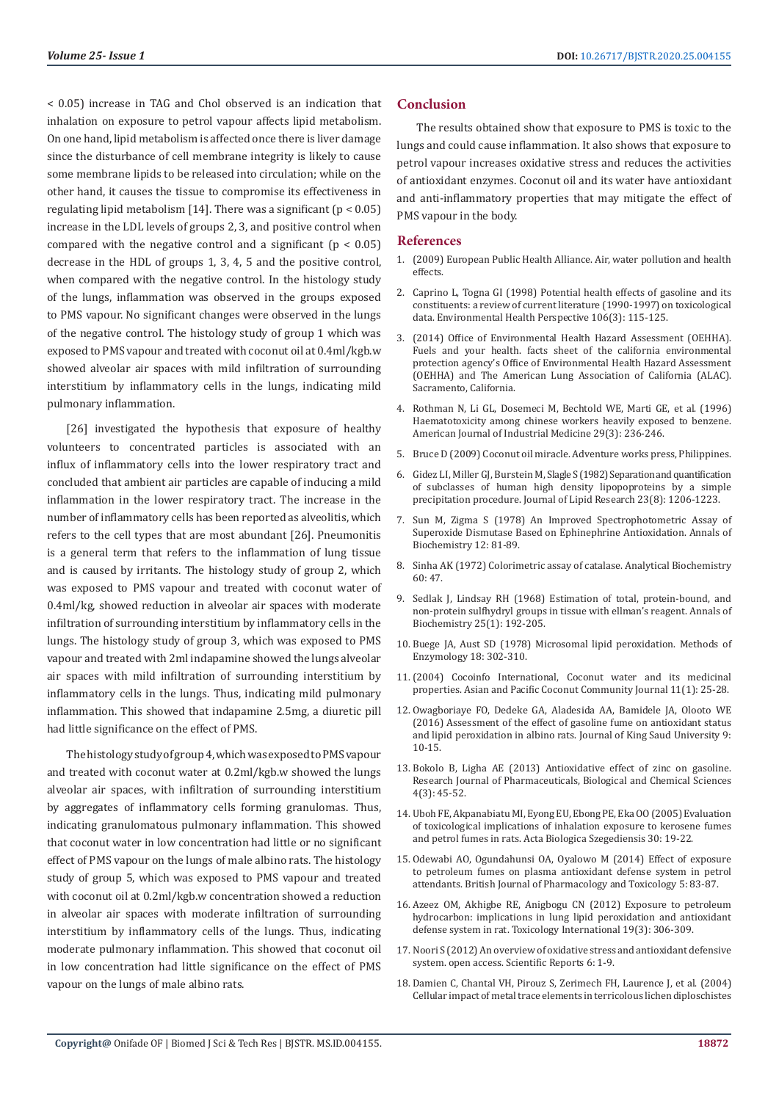< 0.05) increase in TAG and Chol observed is an indication that inhalation on exposure to petrol vapour affects lipid metabolism. On one hand, lipid metabolism is affected once there is liver damage since the disturbance of cell membrane integrity is likely to cause some membrane lipids to be released into circulation; while on the other hand, it causes the tissue to compromise its effectiveness in regulating lipid metabolism [14]. There was a significant ( $p < 0.05$ ) increase in the LDL levels of groups 2, 3, and positive control when compared with the negative control and a significant ( $p < 0.05$ ) decrease in the HDL of groups 1, 3, 4, 5 and the positive control, when compared with the negative control. In the histology study of the lungs, inflammation was observed in the groups exposed to PMS vapour. No significant changes were observed in the lungs of the negative control. The histology study of group 1 which was exposed to PMS vapour and treated with coconut oil at 0.4ml/kgb.w showed alveolar air spaces with mild infiltration of surrounding interstitium by inflammatory cells in the lungs, indicating mild pulmonary inflammation.

[26] investigated the hypothesis that exposure of healthy volunteers to concentrated particles is associated with an influx of inflammatory cells into the lower respiratory tract and concluded that ambient air particles are capable of inducing a mild inflammation in the lower respiratory tract. The increase in the number of inflammatory cells has been reported as alveolitis, which refers to the cell types that are most abundant [26]. Pneumonitis is a general term that refers to the inflammation of lung tissue and is caused by irritants. The histology study of group 2, which was exposed to PMS vapour and treated with coconut water of 0.4ml/kg, showed reduction in alveolar air spaces with moderate infiltration of surrounding interstitium by inflammatory cells in the lungs. The histology study of group 3, which was exposed to PMS vapour and treated with 2ml indapamine showed the lungs alveolar air spaces with mild infiltration of surrounding interstitium by inflammatory cells in the lungs. Thus, indicating mild pulmonary inflammation. This showed that indapamine 2.5mg, a diuretic pill had little significance on the effect of PMS.

The histology study of group 4, which was exposed to PMS vapour and treated with coconut water at 0.2ml/kgb.w showed the lungs alveolar air spaces, with infiltration of surrounding interstitium by aggregates of inflammatory cells forming granulomas. Thus, indicating granulomatous pulmonary inflammation. This showed that coconut water in low concentration had little or no significant effect of PMS vapour on the lungs of male albino rats. The histology study of group 5, which was exposed to PMS vapour and treated with coconut oil at 0.2ml/kgb.w concentration showed a reduction in alveolar air spaces with moderate infiltration of surrounding interstitium by inflammatory cells of the lungs. Thus, indicating moderate pulmonary inflammation. This showed that coconut oil in low concentration had little significance on the effect of PMS vapour on the lungs of male albino rats.

# **Conclusion**

The results obtained show that exposure to PMS is toxic to the lungs and could cause inflammation. It also shows that exposure to petrol vapour increases oxidative stress and reduces the activities of antioxidant enzymes. Coconut oil and its water have antioxidant and anti-inflammatory properties that may mitigate the effect of PMS vapour in the body.

#### **References**

- 1. (2009) European Public Health Alliance. Air, water pollution and health effects.
- 2. [Caprino L, Togna GI \(1998\) Potential health effects of gasoline and its](https://www.ncbi.nlm.nih.gov/pmc/articles/PMC1533055/) [constituents: a review of current literature \(1990-1997\) on toxicological](https://www.ncbi.nlm.nih.gov/pmc/articles/PMC1533055/) [data. Environmental Health Perspective 106\(3\): 115-125.](https://www.ncbi.nlm.nih.gov/pmc/articles/PMC1533055/)
- 3. (2014) Office of Environmental Health Hazard Assessment (OEHHA). Fuels and your health. facts sheet of the california environmental protection agency's Office of Environmental Health Hazard Assessment (OEHHA) and The American Lung Association of California (ALAC). Sacramento, California.
- 4. [Rothman N, Li GL, Dosemeci M, Bechtold WE, Marti GE, et al. \(1996\)](https://www.ncbi.nlm.nih.gov/pubmed/8833776) [Haematotoxicity among chinese workers heavily exposed to benzene.](https://www.ncbi.nlm.nih.gov/pubmed/8833776) [American Journal of Industrial Medicine 29\(3\): 236-246.](https://www.ncbi.nlm.nih.gov/pubmed/8833776)
- 5. Bruce D (2009) Coconut oil miracle. Adventure works press, Philippines.
- 6. Gidez LI, Miller GJ, Burstein M, [Slagle S \(1982\) Separation and quantification](https://www.ncbi.nlm.nih.gov/pubmed/7175378) [of subclasses of human high density lipopoproteins by a simple](https://www.ncbi.nlm.nih.gov/pubmed/7175378) [precipitation procedure. Journal of Lipid Research 23\(8\): 1206-1223.](https://www.ncbi.nlm.nih.gov/pubmed/7175378)
- 7. [Sun M, Zigma S \(1978\) An Improved Spectrophotometric Assay of](https://www.ncbi.nlm.nih.gov/pubmed/727489) [Superoxide Dismutase Based on Ephinephrine Antioxidation. Annals of](https://www.ncbi.nlm.nih.gov/pubmed/727489) [Biochemistry 12: 81-89.](https://www.ncbi.nlm.nih.gov/pubmed/727489)
- 8. [Sinha AK \(1972\) Colorimetric assay of catalase. Analytical Biochemistry](https://www.ncbi.nlm.nih.gov/pubmed/4556490) [60: 47.](https://www.ncbi.nlm.nih.gov/pubmed/4556490)
- 9. [Sedlak J, Lindsay RH \(1968\) Estimation of total, protein-bound, and](https://www.ncbi.nlm.nih.gov/pubmed/4973948) [non-protein sulfhydryl groups in tissue with ellman's reagent. Annals of](https://www.ncbi.nlm.nih.gov/pubmed/4973948) [Biochemistry 25\(1\): 192-205.](https://www.ncbi.nlm.nih.gov/pubmed/4973948)
- 10. [Buege JA, Aust SD \(1978\) Microsomal lipid peroxidation. Methods of](https://www.ncbi.nlm.nih.gov/pubmed/672633) [Enzymology 18: 302-310.](https://www.ncbi.nlm.nih.gov/pubmed/672633)
- 11.(2004) Cocoinfo International, Coconut water and its medicinal properties. Asian and Pacific Coconut Community Journal 11(1): 25-28.
- 12. [Owagboriaye FO, Dedeke GA, Aladesida AA, Bamidele JA, Olooto WE](https://www.sciencedirect.com/science/article/pii/S1018364716300751) [\(2016\) Assessment of the effect of gasoline fume on antioxidant status](https://www.sciencedirect.com/science/article/pii/S1018364716300751) [and lipid peroxidation in albino rats. Journal of King Saud University 9:](https://www.sciencedirect.com/science/article/pii/S1018364716300751) [10-15.](https://www.sciencedirect.com/science/article/pii/S1018364716300751)
- 13. Bokolo B, Ligha AE (2013) Antioxidative effect of zinc on gasoline. Research Journal of Pharmaceuticals, Biological and Chemical Sciences 4(3): 45-52.
- 14. [Uboh FE, Akpanabiatu MI, Eyong EU, Ebong PE, Eka OO \(2005\) Evaluation](https://www.researchgate.net/publication/228340435_Evaluation_of_toxicological_implications_of_inhalation_exposure_to_kerosene_fumes_and_petrol_fumes_in_rats) [of toxicological implications of inhalation exposure to kerosene fumes](https://www.researchgate.net/publication/228340435_Evaluation_of_toxicological_implications_of_inhalation_exposure_to_kerosene_fumes_and_petrol_fumes_in_rats) [and petrol fumes in rats. Acta Biologica Szegediensis 30: 19-22.](https://www.researchgate.net/publication/228340435_Evaluation_of_toxicological_implications_of_inhalation_exposure_to_kerosene_fumes_and_petrol_fumes_in_rats)
- 15. [Odewabi AO, Ogundahunsi OA, Oyalowo M \(2014\) Effect of exposure](https://pdfs.semanticscholar.org/c9d5/1754296c7e50d03e7139d6f79fba080f2140.pdf) [to petroleum fumes on plasma antioxidant defense system in petrol](https://pdfs.semanticscholar.org/c9d5/1754296c7e50d03e7139d6f79fba080f2140.pdf) [attendants. British Journal of Pharmacology and Toxicology 5: 83-87.](https://pdfs.semanticscholar.org/c9d5/1754296c7e50d03e7139d6f79fba080f2140.pdf)
- 16. [Azeez OM, Akhigbe RE, Anigbogu CN \(2012\) Exposure to petroleum](https://www.ncbi.nlm.nih.gov/pubmed/23293471) [hydrocarbon: implications in lung lipid peroxidation and antioxidant](https://www.ncbi.nlm.nih.gov/pubmed/23293471) [defense system in rat. Toxicology International 19\(3\): 306-309.](https://www.ncbi.nlm.nih.gov/pubmed/23293471)
- 17. [Noori S \(2012\) An overview of oxidative stress and antioxidant defensive](https://www.omicsonline.org/scientific-reports/srep413.php) [system. open access. Scientific Reports 6: 1-9.](https://www.omicsonline.org/scientific-reports/srep413.php)
- 18. [Damien C, Chantal VH, Pirouz S, Zerimech FH, Laurence J, et al. \(2004\)](https://link.springer.com/article/10.1023/B:WATE.0000015332.94219.ff) [Cellular impact of metal trace elements in terricolous lichen diploschistes](https://link.springer.com/article/10.1023/B:WATE.0000015332.94219.ff)